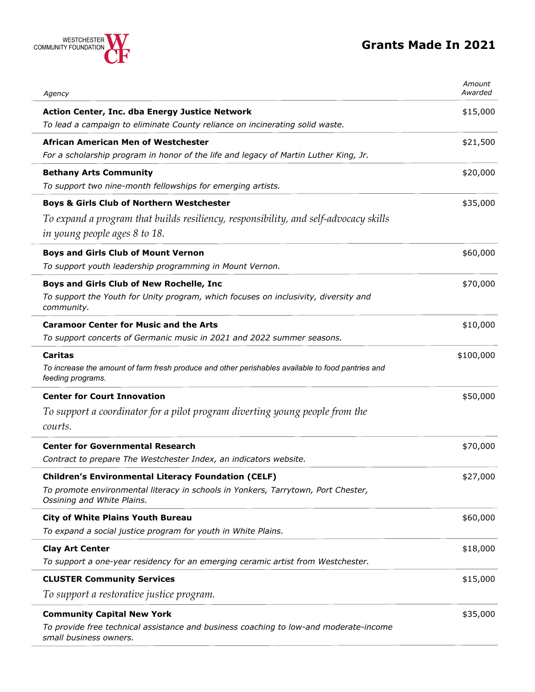## **Grants Made In 2021**



| Agency                                                                                                                 | Amount<br>Awarded |
|------------------------------------------------------------------------------------------------------------------------|-------------------|
| Action Center, Inc. dba Energy Justice Network                                                                         | \$15,000          |
| To lead a campaign to eliminate County reliance on incinerating solid waste.                                           |                   |
| African American Men of Westchester                                                                                    | \$21,500          |
| For a scholarship program in honor of the life and legacy of Martin Luther King, Jr.                                   |                   |
| <b>Bethany Arts Community</b>                                                                                          | \$20,000          |
| To support two nine-month fellowships for emerging artists.                                                            |                   |
| <b>Boys &amp; Girls Club of Northern Westchester</b>                                                                   | \$35,000          |
| To expand a program that builds resiliency, responsibility, and self-advocacy skills                                   |                   |
| in young people ages 8 to 18.                                                                                          |                   |
| <b>Boys and Girls Club of Mount Vernon</b>                                                                             | \$60,000          |
| To support youth leadership programming in Mount Vernon.                                                               |                   |
| Boys and Girls Club of New Rochelle, Inc                                                                               | \$70,000          |
| To support the Youth for Unity program, which focuses on inclusivity, diversity and<br>community.                      |                   |
| <b>Caramoor Center for Music and the Arts</b>                                                                          | \$10,000          |
| To support concerts of Germanic music in 2021 and 2022 summer seasons.                                                 |                   |
| <b>Caritas</b>                                                                                                         | \$100,000         |
| To increase the amount of farm fresh produce and other perishables available to food pantries and<br>feeding programs. |                   |
| <b>Center for Court Innovation</b>                                                                                     | \$50,000          |
| To support a coordinator for a pilot program diverting young people from the                                           |                   |
| courts.                                                                                                                |                   |
| <b>Center for Governmental Research</b>                                                                                | \$70,000          |
| Contract to prepare The Westchester Index, an indicators website.                                                      |                   |
| <b>Children's Environmental Literacy Foundation (CELF)</b>                                                             | \$27,000          |
| To promote environmental literacy in schools in Yonkers, Tarrytown, Port Chester,<br>Ossining and White Plains.        |                   |
| <b>City of White Plains Youth Bureau</b>                                                                               | \$60,000          |
| To expand a social justice program for youth in White Plains.                                                          |                   |
| <b>Clay Art Center</b>                                                                                                 | \$18,000          |
| To support a one-year residency for an emerging ceramic artist from Westchester.                                       |                   |
| <b>CLUSTER Community Services</b>                                                                                      | \$15,000          |
| To support a restorative justice program.                                                                              |                   |
| <b>Community Capital New York</b>                                                                                      | \$35,000          |
| To provide free technical assistance and business coaching to low-and moderate-income<br>small business owners.        |                   |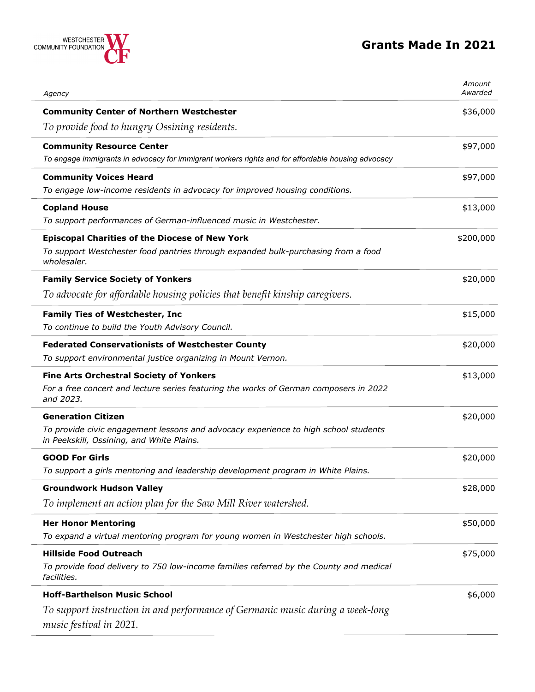

| Agency                                                                                                                                                        | Amount<br>Awarded |
|---------------------------------------------------------------------------------------------------------------------------------------------------------------|-------------------|
| <b>Community Center of Northern Westchester</b>                                                                                                               | \$36,000          |
| To provide food to hungry Ossining residents.                                                                                                                 |                   |
| <b>Community Resource Center</b><br>To engage immigrants in advocacy for immigrant workers rights and for affordable housing advocacy                         | \$97,000          |
| <b>Community Voices Heard</b><br>To engage low-income residents in advocacy for improved housing conditions.                                                  | \$97,000          |
| <b>Copland House</b><br>To support performances of German-influenced music in Westchester.                                                                    | \$13,000          |
| <b>Episcopal Charities of the Diocese of New York</b><br>To support Westchester food pantries through expanded bulk-purchasing from a food<br>wholesaler.     | \$200,000         |
| <b>Family Service Society of Yonkers</b><br>To advocate for affordable housing policies that benefit kinship caregivers.                                      | \$20,000          |
| <b>Family Ties of Westchester, Inc</b><br>To continue to build the Youth Advisory Council.                                                                    | \$15,000          |
| <b>Federated Conservationists of Westchester County</b><br>To support environmental justice organizing in Mount Vernon.                                       | \$20,000          |
| <b>Fine Arts Orchestral Society of Yonkers</b><br>For a free concert and lecture series featuring the works of German composers in 2022<br>and 2023.          | \$13,000          |
| <b>Generation Citizen</b><br>To provide civic engagement lessons and advocacy experience to high school students<br>in Peekskill, Ossining, and White Plains. | \$20,000          |
| <b>GOOD For Girls</b><br>To support a girls mentoring and leadership development program in White Plains.                                                     | \$20,000          |
| <b>Groundwork Hudson Valley</b><br>To implement an action plan for the Saw Mill River watershed.                                                              | \$28,000          |
| <b>Her Honor Mentoring</b><br>To expand a virtual mentoring program for young women in Westchester high schools.                                              | \$50,000          |
| <b>Hillside Food Outreach</b><br>To provide food delivery to 750 low-income families referred by the County and medical<br>facilities.                        | \$75,000          |
| <b>Hoff-Barthelson Music School</b>                                                                                                                           | \$6,000           |
| To support instruction in and performance of Germanic music during a week-long<br>music festival in 2021.                                                     |                   |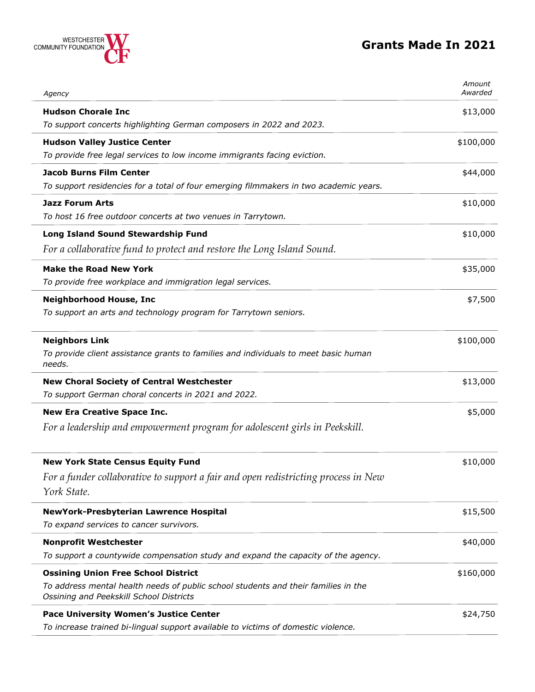

| Agency                                                                                                                                                                      | Amount<br>Awarded |
|-----------------------------------------------------------------------------------------------------------------------------------------------------------------------------|-------------------|
| <b>Hudson Chorale Inc</b><br>To support concerts highlighting German composers in 2022 and 2023.                                                                            | \$13,000          |
| <b>Hudson Valley Justice Center</b><br>To provide free legal services to low income immigrants facing eviction.                                                             | \$100,000         |
| <b>Jacob Burns Film Center</b><br>To support residencies for a total of four emerging filmmakers in two academic years.                                                     | \$44,000          |
| <b>Jazz Forum Arts</b><br>To host 16 free outdoor concerts at two venues in Tarrytown.                                                                                      | \$10,000          |
| Long Island Sound Stewardship Fund<br>For a collaborative fund to protect and restore the Long Island Sound.                                                                | \$10,000          |
| <b>Make the Road New York</b><br>To provide free workplace and immigration legal services.                                                                                  | \$35,000          |
| <b>Neighborhood House, Inc</b><br>To support an arts and technology program for Tarrytown seniors.                                                                          | \$7,500           |
| <b>Neighbors Link</b><br>To provide client assistance grants to families and individuals to meet basic human<br>needs.                                                      | \$100,000         |
| <b>New Choral Society of Central Westchester</b><br>To support German choral concerts in 2021 and 2022.                                                                     | \$13,000          |
| <b>New Era Creative Space Inc.</b><br>For a leadership and empowerment program for adolescent girls in Peekskill.                                                           | \$5,000           |
| <b>New York State Census Equity Fund</b><br>For a funder collaborative to support a fair and open redistricting process in New<br>York State.                               | \$10,000          |
| NewYork-Presbyterian Lawrence Hospital<br>To expand services to cancer survivors.                                                                                           | \$15,500          |
| <b>Nonprofit Westchester</b><br>To support a countywide compensation study and expand the capacity of the agency.                                                           | \$40,000          |
| <b>Ossining Union Free School District</b><br>To address mental health needs of public school students and their families in the<br>Ossining and Peekskill School Districts | \$160,000         |
| <b>Pace University Women's Justice Center</b><br>To increase trained bi-lingual support available to victims of domestic violence.                                          | \$24,750          |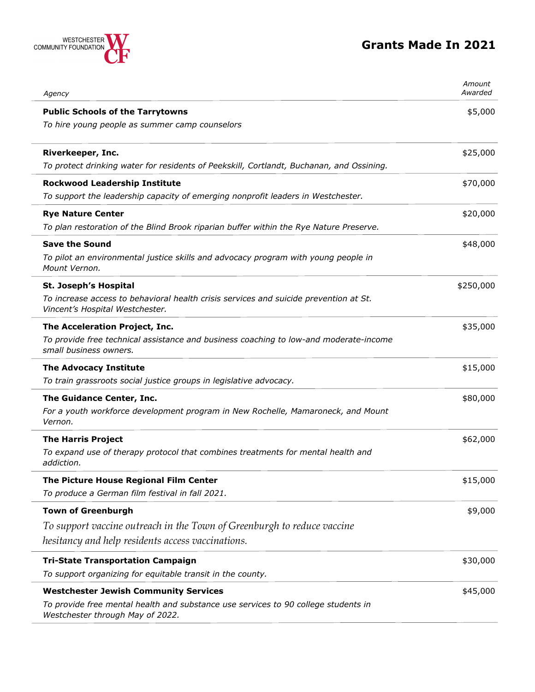

| Agency                                                                                                                                                                 | Amount<br>Awarded |
|------------------------------------------------------------------------------------------------------------------------------------------------------------------------|-------------------|
| <b>Public Schools of the Tarrytowns</b><br>To hire young people as summer camp counselors                                                                              | \$5,000           |
| Riverkeeper, Inc.<br>To protect drinking water for residents of Peekskill, Cortlandt, Buchanan, and Ossining.                                                          | \$25,000          |
| <b>Rockwood Leadership Institute</b><br>To support the leadership capacity of emerging nonprofit leaders in Westchester.                                               | \$70,000          |
| <b>Rye Nature Center</b><br>To plan restoration of the Blind Brook riparian buffer within the Rye Nature Preserve.                                                     | \$20,000          |
| <b>Save the Sound</b><br>To pilot an environmental justice skills and advocacy program with young people in<br>Mount Vernon.                                           | \$48,000          |
| St. Joseph's Hospital<br>To increase access to behavioral health crisis services and suicide prevention at St.<br>Vincent's Hospital Westchester.                      | \$250,000         |
| The Acceleration Project, Inc.<br>To provide free technical assistance and business coaching to low-and moderate-income<br>small business owners.                      | \$35,000          |
| <b>The Advocacy Institute</b><br>To train grassroots social justice groups in legislative advocacy.                                                                    | \$15,000          |
| The Guidance Center, Inc.<br>For a youth workforce development program in New Rochelle, Mamaroneck, and Mount<br>Vernon.                                               | \$80,000          |
| <b>The Harris Project</b><br>To expand use of therapy protocol that combines treatments for mental health and<br>addiction.                                            | \$62,000          |
| The Picture House Regional Film Center<br>To produce a German film festival in fall 2021.                                                                              | \$15,000          |
| <b>Town of Greenburgh</b><br>To support vaccine outreach in the Town of Greenburgh to reduce vaccine<br>hesitancy and help residents access vaccinations.              | \$9,000           |
| <b>Tri-State Transportation Campaign</b><br>To support organizing for equitable transit in the county.                                                                 | \$30,000          |
| <b>Westchester Jewish Community Services</b><br>To provide free mental health and substance use services to 90 college students in<br>Westchester through May of 2022. | \$45,000          |